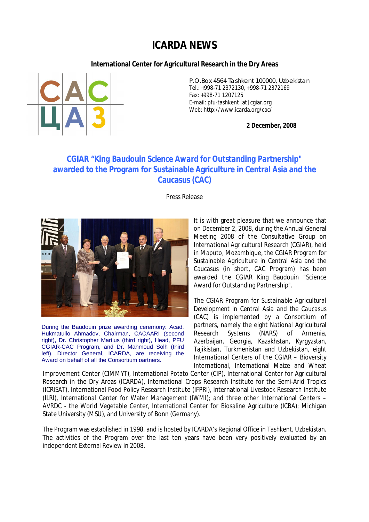## **ICARDA NEWS**

**International Center for Agricultural Research in the Dry Areas**



P.O.Box 4564 Tashkent 100000, Uzbekistan Tel.: +998-71 2372130, +998-71 2372169 Fax: +998-71 1207125 E-mail: pfu-tashkent [at] cgiar.org Web: http://www.icarda.org/cac/

**2 December, 2008**

## **CGIAR "***King Baudouin Science Award for Outstanding Partnership***" awarded to the Program for Sustainable Agriculture in Central Asia and the Caucasus (CAC)**

Press Release



During the Baudouin prize awarding ceremony: Acad. Hukmatullo Ahmadov, Chairman, CACAARI (second right), Dr. Christopher Martius (third right), Head, PFU CGIAR-CAC Program, and Dr. Mahmoud Solh (third left), Director General, ICARDA, are receiving the Award on behalf of all the Consortium partners.

It is with great pleasure that we announce that on December 2, 2008, during the Annual General Meeting 2008 of the *Consultative Group on International Agricultural Research* (CGIAR), held in Maputo, Mozambique, the CGIAR Program for Sustainable Agriculture in Central Asia and the Caucasus (in short, CAC Program) has been awarded the CGIAR King Baudouin "Science Award for Outstanding Partnership".

The *CGIAR Program for Sustainable Agricultural Development in Central Asia and the Caucasus* (CAC) is implemented by a Consortium of partners, namely the eight National Agricultural Research Systems (NARS) of Armenia, Azerbaijan, Georgia, Kazakhstan, Kyrgyzstan, Tajikistan, Turkmenistan and Uzbekistan, eight International Centers of the CGIAR – Bioversity International, International Maize and Wheat

Improvement Center (CIMMYT), International Potato Center (CIP), International Center for Agricultural Research in the Dry Areas (ICARDA), International Crops Research Institute for the Semi-Arid Tropics (ICRISAT), International Food Policy Research Institute (IFPRI), International Livestock Research Institute (ILRI), International Center for Water Management (IWMI); and three other International Centers – AVRDC - the World Vegetable Center, International Center for Biosaline Agriculture (ICBA); Michigan State University (MSU), and University of Bonn (Germany).

The Program was established in 1998, and is hosted by ICARDA's Regional Office in Tashkent, Uzbekistan. The activities of the Program over the last ten years have been very positively evaluated by an independent External Review in 2008.